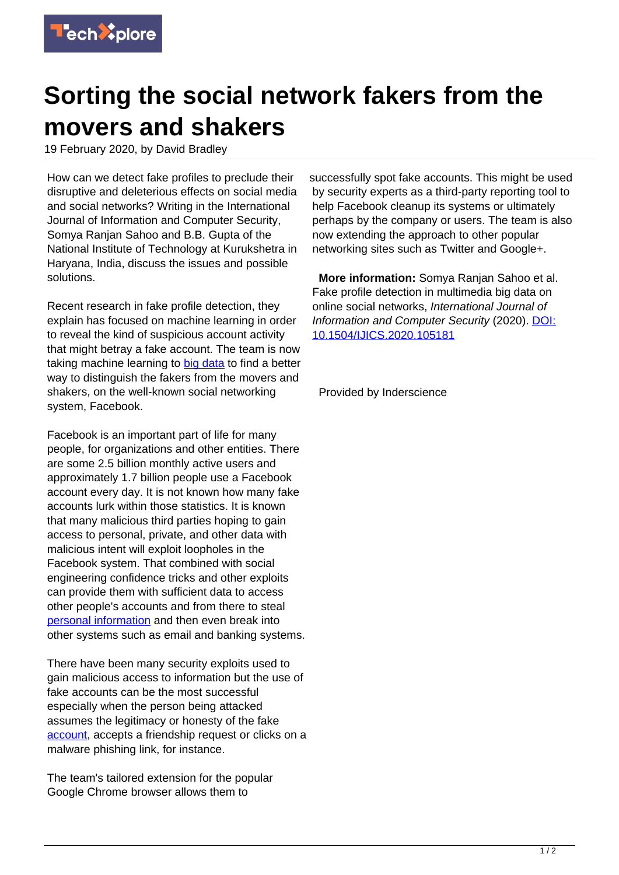

## **Sorting the social network fakers from the movers and shakers**

19 February 2020, by David Bradley

How can we detect fake profiles to preclude their disruptive and deleterious effects on social media and social networks? Writing in the International Journal of Information and Computer Security, Somya Ranjan Sahoo and B.B. Gupta of the National Institute of Technology at Kurukshetra in Haryana, India, discuss the issues and possible solutions.

Recent research in fake profile detection, they explain has focused on machine learning in order to reveal the kind of suspicious account activity that might betray a fake account. The team is now taking machine learning to [big data](https://techxplore.com/tags/big+data/) to find a better way to distinguish the fakers from the movers and shakers, on the well-known social networking system, Facebook.

Facebook is an important part of life for many people, for organizations and other entities. There are some 2.5 billion monthly active users and approximately 1.7 billion people use a Facebook account every day. It is not known how many fake accounts lurk within those statistics. It is known that many malicious third parties hoping to gain access to personal, private, and other data with malicious intent will exploit loopholes in the Facebook system. That combined with social engineering confidence tricks and other exploits can provide them with sufficient data to access other people's accounts and from there to steal [personal information](https://techxplore.com/tags/personal+information/) and then even break into other systems such as email and banking systems.

There have been many security exploits used to gain malicious access to information but the use of fake accounts can be the most successful especially when the person being attacked assumes the legitimacy or honesty of the fake [account,](https://techxplore.com/tags/account/) accepts a friendship request or clicks on a malware phishing link, for instance.

The team's tailored extension for the popular Google Chrome browser allows them to

successfully spot fake accounts. This might be used by security experts as a third-party reporting tool to help Facebook cleanup its systems or ultimately perhaps by the company or users. The team is also now extending the approach to other popular networking sites such as Twitter and Google+.

 **More information:** Somya Ranjan Sahoo et al. Fake profile detection in multimedia big data on online social networks, International Journal of Information and Computer Security (2020). [DOI:](http://dx.doi.org/10.1504/IJICS.2020.105181) [10.1504/IJICS.2020.105181](http://dx.doi.org/10.1504/IJICS.2020.105181)

Provided by Inderscience